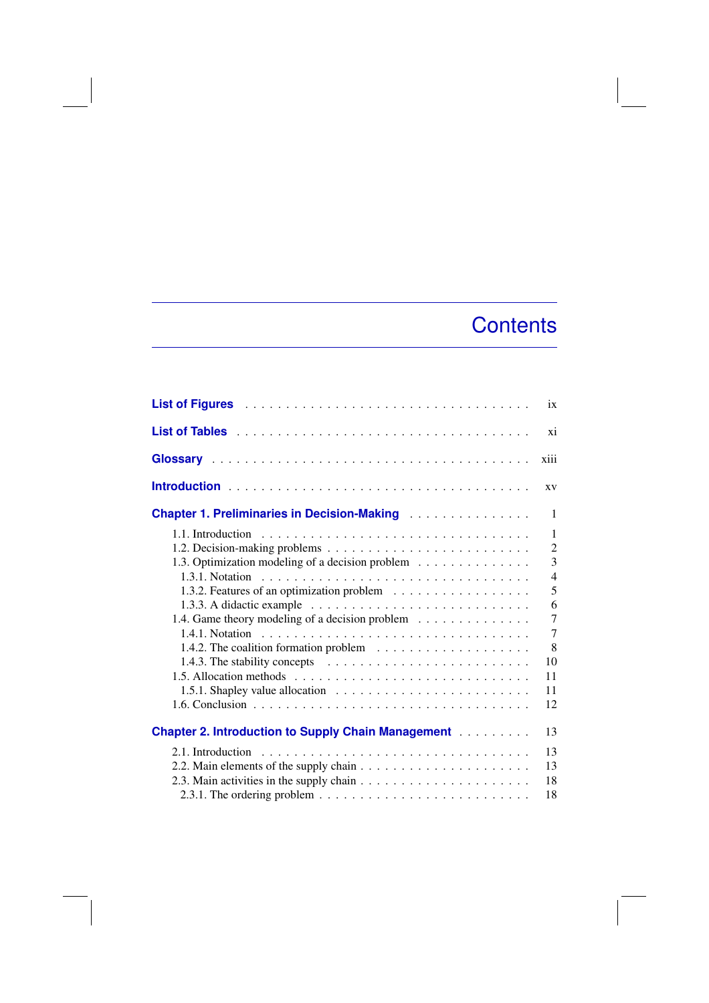## **Contents**

| List of Figures <b>Material Accept Accept Accept Accept Accept</b>                                                                                                                                                                   | ix             |
|--------------------------------------------------------------------------------------------------------------------------------------------------------------------------------------------------------------------------------------|----------------|
|                                                                                                                                                                                                                                      | xi             |
|                                                                                                                                                                                                                                      | xiii           |
|                                                                                                                                                                                                                                      | XV             |
| <b>Chapter 1. Preliminaries in Decision-Making Administration Chapter 1. Preliminaries in Decision-Making Administration Chapter 1. Administration Chapter 1. Administration Chapter 1. Administration Chapter 1. Administration</b> | 1              |
|                                                                                                                                                                                                                                      | $\mathbf{1}$   |
|                                                                                                                                                                                                                                      | $\overline{2}$ |
| 1.3. Optimization modeling of a decision problem                                                                                                                                                                                     | 3              |
|                                                                                                                                                                                                                                      | $\overline{4}$ |
| 1.3.2. Features of an optimization problem                                                                                                                                                                                           | 5              |
|                                                                                                                                                                                                                                      | 6              |
| 1.4. Game theory modeling of a decision problem                                                                                                                                                                                      | 7              |
|                                                                                                                                                                                                                                      | 7              |
| 1.4.2. The coalition formation problem $\dots \dots \dots \dots \dots \dots \dots$                                                                                                                                                   | 8              |
| 1.4.3. The stability concepts $\ldots \ldots \ldots \ldots \ldots \ldots \ldots$                                                                                                                                                     | 10             |
|                                                                                                                                                                                                                                      | 11             |
|                                                                                                                                                                                                                                      | 11             |
|                                                                                                                                                                                                                                      | 12             |
| <b>Chapter 2. Introduction to Supply Chain Management Community Chapter 2. Introduction to Supply Chain Management</b>                                                                                                               | 13             |
| 2.1. Introduction                                                                                                                                                                                                                    | 13             |
|                                                                                                                                                                                                                                      | 13             |
| 2.3. Main activities in the supply chain $\dots \dots \dots \dots \dots \dots \dots \dots$                                                                                                                                           | 18             |
|                                                                                                                                                                                                                                      | 18             |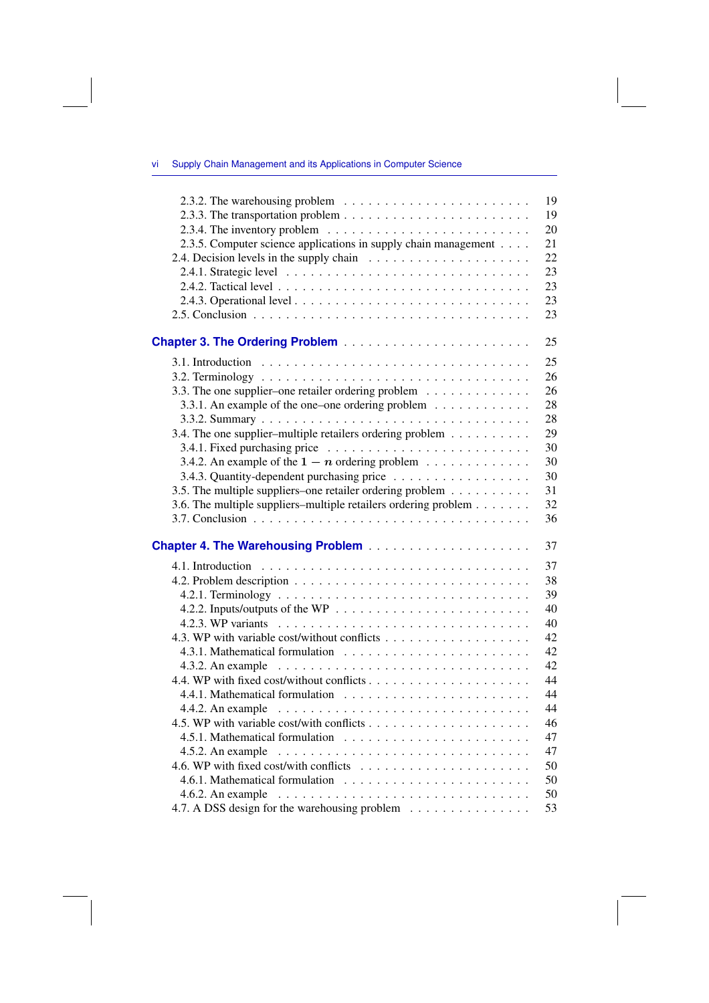## vi Supply Chain Management and its Applications in Computer Science

|                                                                                                  | 19 |
|--------------------------------------------------------------------------------------------------|----|
|                                                                                                  | 19 |
| 2.3.4. The inventory problem $\dots \dots \dots \dots \dots \dots \dots \dots \dots \dots$       | 20 |
| 2.3.5. Computer science applications in supply chain management                                  | 21 |
| 2.4. Decision levels in the supply chain                                                         | 22 |
|                                                                                                  | 23 |
|                                                                                                  | 23 |
|                                                                                                  | 23 |
|                                                                                                  | 23 |
|                                                                                                  | 25 |
|                                                                                                  | 25 |
|                                                                                                  | 26 |
| 3.3. The one supplier-one retailer ordering problem                                              | 26 |
| 3.3.1. An example of the one-one ordering problem                                                | 28 |
|                                                                                                  | 28 |
| 3.4. The one supplier-multiple retailers ordering problem                                        | 29 |
|                                                                                                  | 30 |
| 3.4.2. An example of the $1 - n$ ordering problem                                                | 30 |
| 3.4.3. Quantity-dependent purchasing price                                                       | 30 |
| 3.5. The multiple suppliers-one retailer ordering problem                                        | 31 |
| 3.6. The multiple suppliers–multiple retailers ordering problem                                  | 32 |
|                                                                                                  | 36 |
|                                                                                                  | 37 |
|                                                                                                  | 37 |
|                                                                                                  | 38 |
|                                                                                                  | 39 |
|                                                                                                  | 40 |
|                                                                                                  | 40 |
|                                                                                                  | 42 |
|                                                                                                  | 42 |
|                                                                                                  | 42 |
|                                                                                                  | 44 |
|                                                                                                  | 44 |
|                                                                                                  | 44 |
|                                                                                                  | 46 |
|                                                                                                  | 47 |
| 4.5.2. An example $\ldots \ldots \ldots \ldots \ldots \ldots \ldots \ldots \ldots \ldots \ldots$ | 47 |
|                                                                                                  | 50 |
|                                                                                                  | 50 |
|                                                                                                  | 50 |
| 4.7. A DSS design for the warehousing problem                                                    | 53 |